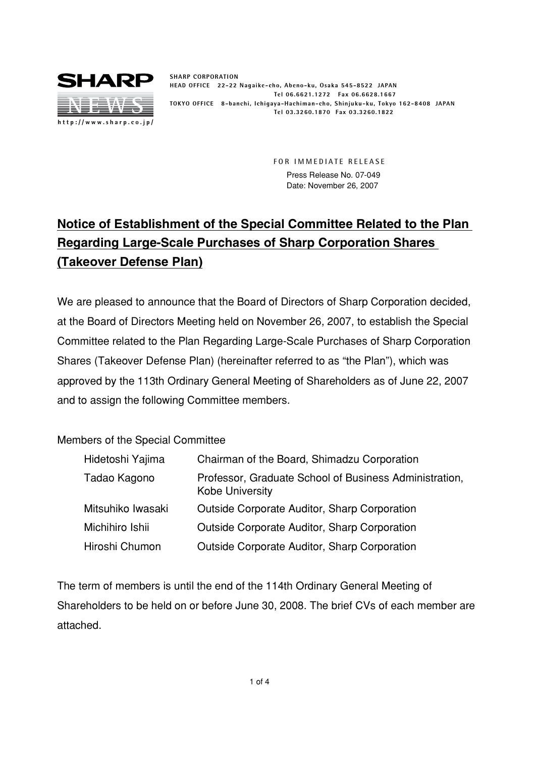

**SHARP CORPORATION HEAD OFFICE 22-22 Nagaike-cho, Abeno-ku, Osaka 545-8522 JAPAN Tel 06.6621.1272 Fax 06.6628.1667 TOKYO OFFICE 8-banchi, Ichigaya-Hachiman-cho, Shinjuku-ku, Tokyo 162-8408 JAPAN Tel 03.3260.1870 Fax 03.3260.1822**

> **FOR IMMEDIATE RELEASE** Press Release No. 07-049 Date: November 26, 2007

## **Notice of Establishment of the Special Committee Related to the Plan Regarding Large-Scale Purchases of Sharp Corporation Shares (Takeover Defense Plan)**

We are pleased to announce that the Board of Directors of Sharp Corporation decided, at the Board of Directors Meeting held on November 26, 2007, to establish the Special Committee related to the Plan Regarding Large-Scale Purchases of Sharp Corporation Shares (Takeover Defense Plan) (hereinafter referred to as "the Plan"), which was approved by the 113th Ordinary General Meeting of Shareholders as of June 22, 2007 and to assign the following Committee members.

## Members of the Special Committee

| Hidetoshi Yajima  | Chairman of the Board, Shimadzu Corporation                                      |
|-------------------|----------------------------------------------------------------------------------|
| Tadao Kagono      | Professor, Graduate School of Business Administration,<br><b>Kobe University</b> |
| Mitsuhiko Iwasaki | <b>Outside Corporate Auditor, Sharp Corporation</b>                              |
| Michihiro Ishii   | <b>Outside Corporate Auditor, Sharp Corporation</b>                              |
| Hiroshi Chumon    | <b>Outside Corporate Auditor, Sharp Corporation</b>                              |

The term of members is until the end of the 114th Ordinary General Meeting of Shareholders to be held on or before June 30, 2008. The brief CVs of each member are attached.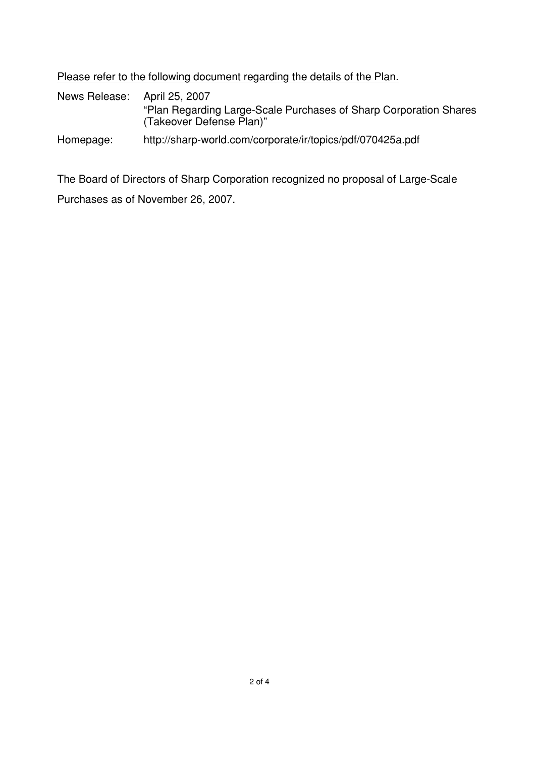Please refer to the following document regarding the details of the Plan.

News Release: April 25, 2007 "Plan Regarding Large-Scale Purchases of Sharp Corporation Shares (Takeover Defense Plan)"

Homepage: http://sharp-world.com/corporate/ir/topics/pdf/070425a.pdf

The Board of Directors of Sharp Corporation recognized no proposal of Large-Scale Purchases as of November 26, 2007.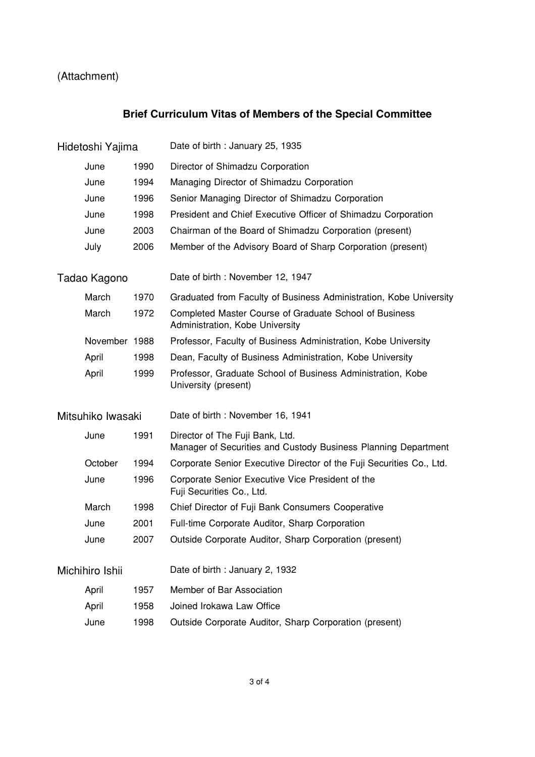## (Attachment)

## **Brief Curriculum Vitas of Members of the Special Committee**

| Hidetoshi Yajima  |               |      | Date of birth: January 25, 1935                                                                   |
|-------------------|---------------|------|---------------------------------------------------------------------------------------------------|
|                   | June          | 1990 | Director of Shimadzu Corporation                                                                  |
|                   | June          | 1994 | Managing Director of Shimadzu Corporation                                                         |
|                   | June          | 1996 | Senior Managing Director of Shimadzu Corporation                                                  |
|                   | June          | 1998 | President and Chief Executive Officer of Shimadzu Corporation                                     |
|                   | June          | 2003 | Chairman of the Board of Shimadzu Corporation (present)                                           |
|                   | July          | 2006 | Member of the Advisory Board of Sharp Corporation (present)                                       |
| Tadao Kagono      |               |      | Date of birth: November 12, 1947                                                                  |
|                   | March         | 1970 | Graduated from Faculty of Business Administration, Kobe University                                |
|                   | March         | 1972 | Completed Master Course of Graduate School of Business<br>Administration, Kobe University         |
|                   | November 1988 |      | Professor, Faculty of Business Administration, Kobe University                                    |
|                   | April         | 1998 | Dean, Faculty of Business Administration, Kobe University                                         |
|                   | April         | 1999 | Professor, Graduate School of Business Administration, Kobe<br>University (present)               |
| Mitsuhiko Iwasaki |               |      | Date of birth: November 16, 1941                                                                  |
|                   | June          | 1991 | Director of The Fuji Bank, Ltd.<br>Manager of Securities and Custody Business Planning Department |
|                   | October       | 1994 | Corporate Senior Executive Director of the Fuji Securities Co., Ltd.                              |
|                   | June          | 1996 | Corporate Senior Executive Vice President of the<br>Fuji Securities Co., Ltd.                     |
|                   | March         | 1998 | Chief Director of Fuji Bank Consumers Cooperative                                                 |
|                   | June          | 2001 | Full-time Corporate Auditor, Sharp Corporation                                                    |
|                   | June          | 2007 | Outside Corporate Auditor, Sharp Corporation (present)                                            |
| Michihiro Ishii   |               |      | Date of birth: January 2, 1932                                                                    |
|                   | April         | 1957 | Member of Bar Association                                                                         |
|                   | April         | 1958 | Joined Irokawa Law Office                                                                         |
|                   | June          | 1998 | Outside Corporate Auditor, Sharp Corporation (present)                                            |